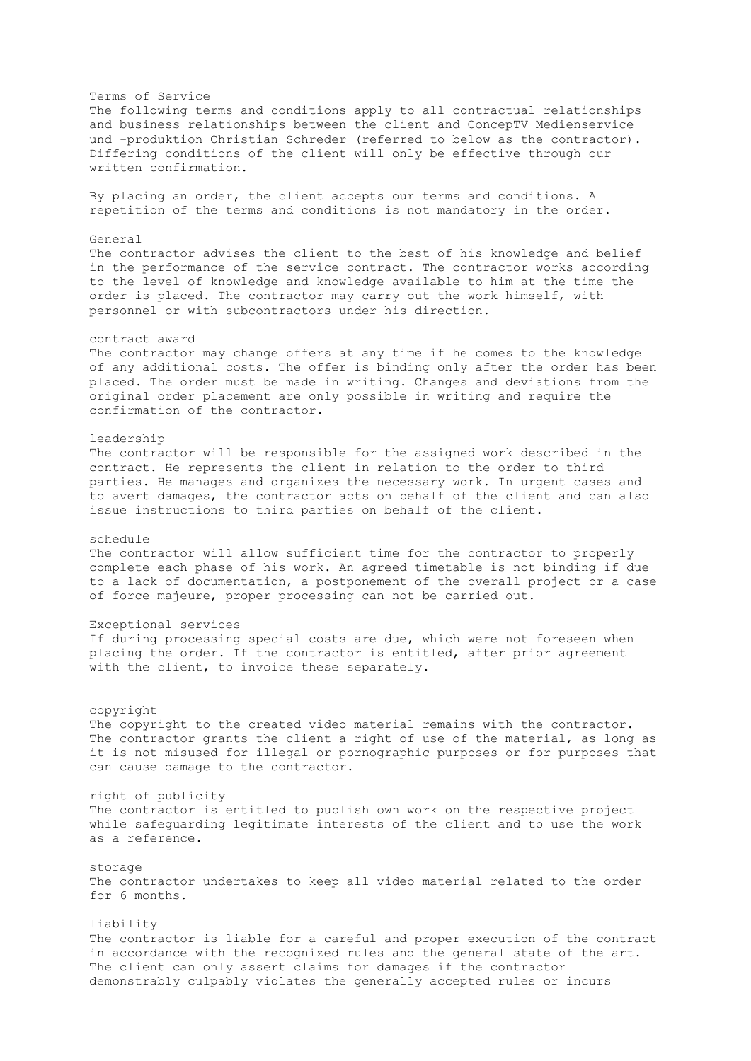Terms of Service The following terms and conditions apply to all contractual relationships and business relationships between the client and ConcepTV Medienservice und -produktion Christian Schreder (referred to below as the contractor). Differing conditions of the client will only be effective through our written confirmation. By placing an order, the client accepts our terms and conditions. A repetition of the terms and conditions is not mandatory in the order. General The contractor advises the client to the best of his knowledge and belief in the performance of the service contract. The contractor works according to the level of knowledge and knowledge available to him at the time the order is placed. The contractor may carry out the work himself, with personnel or with subcontractors under his direction. contract award The contractor may change offers at any time if he comes to the knowledge of any additional costs. The offer is binding only after the order has been placed. The order must be made in writing. Changes and deviations from the original order placement are only possible in writing and require the confirmation of the contractor. leadership The contractor will be responsible for the assigned work described in the contract. He represents the client in relation to the order to third parties. He manages and organizes the necessary work. In urgent cases and to avert damages, the contractor acts on behalf of the client and can also issue instructions to third parties on behalf of the client. schedule The contractor will allow sufficient time for the contractor to properly complete each phase of his work. An agreed timetable is not binding if due to a lack of documentation, a postponement of the overall project or a case of force majeure, proper processing can not be carried out. Exceptional services If during processing special costs are due, which were not foreseen when placing the order. If the contractor is entitled, after prior agreement with the client, to invoice these separately. copyright The copyright to the created video material remains with the contractor. The contractor grants the client a right of use of the material, as long as it is not misused for illegal or pornographic purposes or for purposes that can cause damage to the contractor. right of publicity The contractor is entitled to publish own work on the respective project while safeguarding legitimate interests of the client and to use the work as a reference. storage The contractor undertakes to keep all video material related to the order for 6 months. liability The contractor is liable for a careful and proper execution of the contract in accordance with the recognized rules and the general state of the art. The client can only assert claims for damages if the contractor demonstrably culpably violates the generally accepted rules or incurs